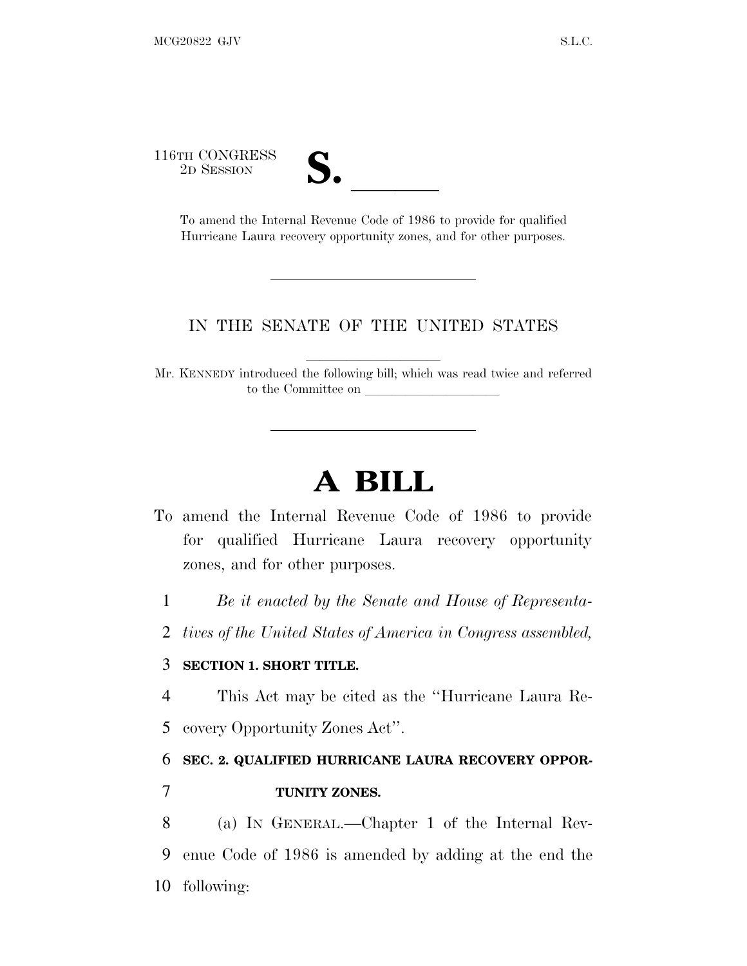116TH CONGRESS

TH CONGRESS<br>
2D SESSION<br>
To amend the Internal Revenue Code of 1986 to provide for qualified Hurricane Laura recovery opportunity zones, and for other purposes.

#### IN THE SENATE OF THE UNITED STATES

Mr. KENNEDY introduced the following bill; which was read twice and referred to the Committee on

# **A BILL**

- To amend the Internal Revenue Code of 1986 to provide for qualified Hurricane Laura recovery opportunity zones, and for other purposes.
	- 1 *Be it enacted by the Senate and House of Representa-*
	- 2 *tives of the United States of America in Congress assembled,*

#### 3 **SECTION 1. SHORT TITLE.**

- 4 This Act may be cited as the ''Hurricane Laura Re-
- 5 covery Opportunity Zones Act''.

#### 6 **SEC. 2. QUALIFIED HURRICANE LAURA RECOVERY OPPOR-**

7 **TUNITY ZONES.**

8 (a) I<sup>N</sup> GENERAL.—Chapter 1 of the Internal Rev-9 enue Code of 1986 is amended by adding at the end the 10 following: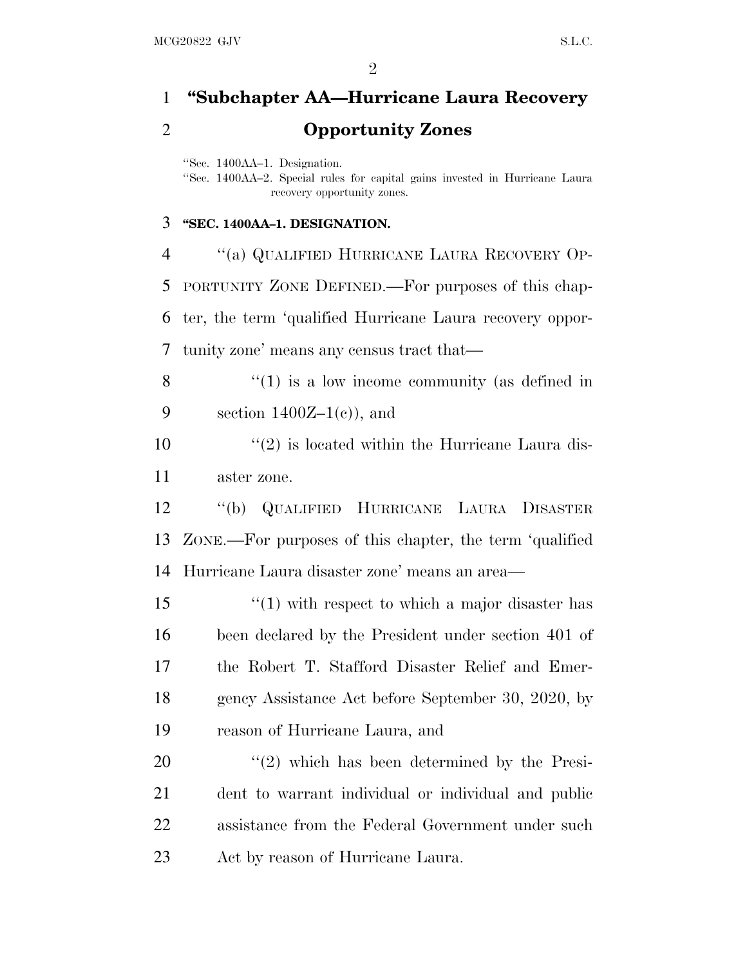## **''Subchapter AA—Hurricane Laura Recovery Opportunity Zones**

''Sec. 1400AA–1. Designation.

''Sec. 1400AA–2. Special rules for capital gains invested in Hurricane Laura recovery opportunity zones.

#### **''SEC. 1400AA–1. DESIGNATION.**

 ''(a) QUALIFIED HURRICANE LAURA RECOVERY OP- PORTUNITY ZONE DEFINED.—For purposes of this chap- ter, the term 'qualified Hurricane Laura recovery oppor-tunity zone' means any census tract that—

 "(1) is a low income community (as defined in 9 section  $1400Z-1(c)$ , and

 $\mathcal{L}(2)$  is located within the Hurricane Laura dis-aster zone.

 ''(b) QUALIFIED HURRICANE LAURA DISASTER ZONE.—For purposes of this chapter, the term 'qualified Hurricane Laura disaster zone' means an area—

15 ''(1) with respect to which a major disaster has been declared by the President under section 401 of the Robert T. Stafford Disaster Relief and Emer- gency Assistance Act before September 30, 2020, by reason of Hurricane Laura, and

 ''(2) which has been determined by the Presi- dent to warrant individual or individual and public assistance from the Federal Government under such Act by reason of Hurricane Laura.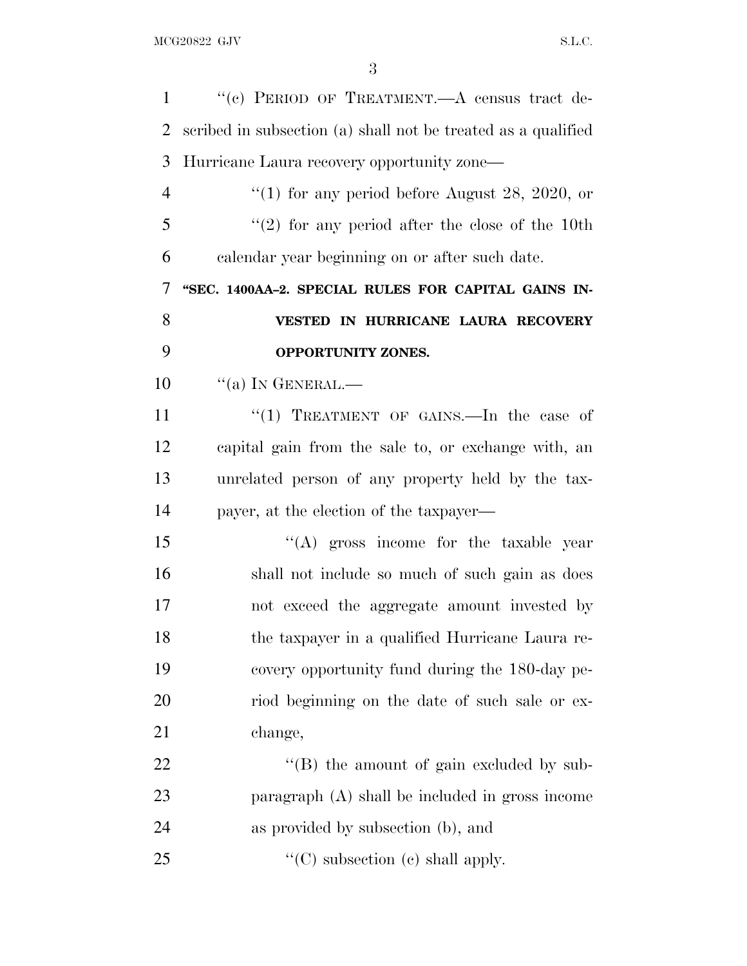| $\mathbf{1}$   | "(c) PERIOD OF TREATMENT. A census tract de-                  |
|----------------|---------------------------------------------------------------|
| $\overline{2}$ | scribed in subsection (a) shall not be treated as a qualified |
| 3              | Hurricane Laura recovery opportunity zone—                    |
| 4              | "(1) for any period before August 28, 2020, or                |
| 5              | $\lq(2)$ for any period after the close of the 10th           |
| 6              | calendar year beginning on or after such date.                |
| 7              | "SEC. 1400AA-2. SPECIAL RULES FOR CAPITAL GAINS IN-           |
| 8              | VESTED IN HURRICANE LAURA RECOVERY                            |
| 9              | OPPORTUNITY ZONES.                                            |
| 10             | $\lq\lq$ (a) In GENERAL.—                                     |
| 11             | "(1) TREATMENT OF GAINS.—In the case of                       |
| 12             | capital gain from the sale to, or exchange with, an           |
| 13             | unrelated person of any property held by the tax-             |
| 14             | payer, at the election of the taxpayer—                       |
| 15             | "(A) gross income for the taxable year                        |
| 16             | shall not include so much of such gain as does                |
| 17             | not exceed the aggregate amount invested by                   |
| 18             | the taxpayer in a qualified Hurricane Laura re-               |
| 19             | covery opportunity fund during the 180-day pe-                |
| 20             | riod beginning on the date of such sale or ex-                |
| 21             | change,                                                       |
| 22             | "(B) the amount of gain excluded by sub-                      |
| 23             | paragraph (A) shall be included in gross income               |
| 24             | as provided by subsection (b), and                            |
| 25             | $\lq\lq$ (C) subsection (c) shall apply.                      |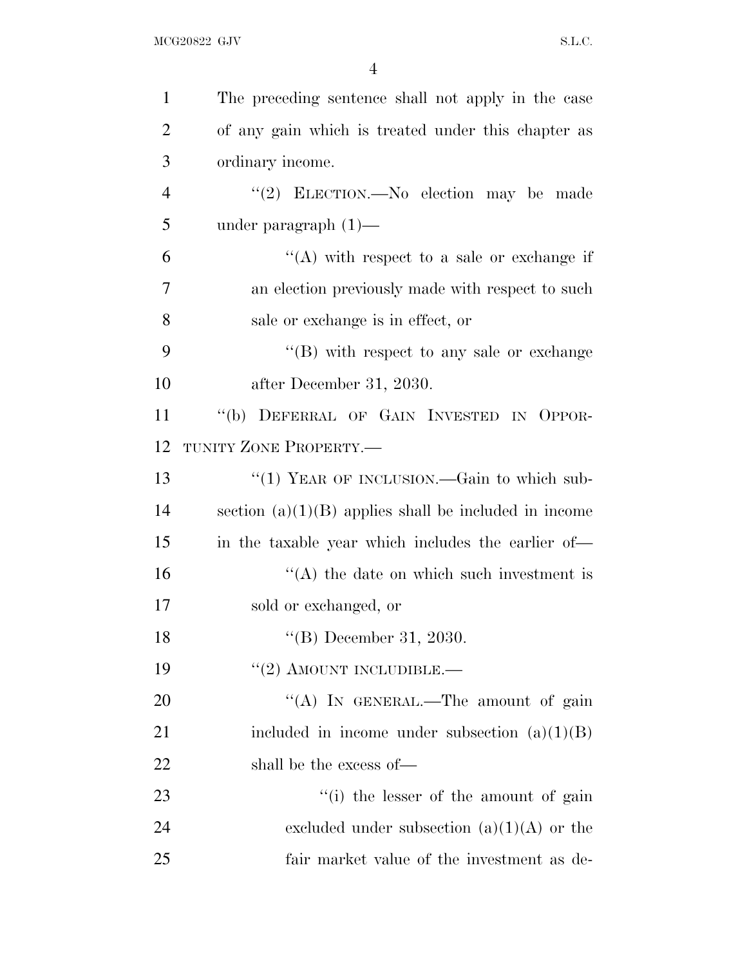| $\mathbf{1}$   | The preceding sentence shall not apply in the case      |
|----------------|---------------------------------------------------------|
| $\overline{2}$ | of any gain which is treated under this chapter as      |
| 3              | ordinary income.                                        |
| $\overline{4}$ | "(2) ELECTION.—No election may be made                  |
| 5              | under paragraph $(1)$ —                                 |
| 6              | $\lq\lq$ with respect to a sale or exchange if          |
| 7              | an election previously made with respect to such        |
| 8              | sale or exchange is in effect, or                       |
| 9              | $\lq\lq (B)$ with respect to any sale or exchange       |
| 10             | after December 31, 2030.                                |
| 11             | "(b) DEFERRAL OF GAIN INVESTED IN OPPOR-                |
| 12             | TUNITY ZONE PROPERTY.-                                  |
| 13             | "(1) YEAR OF INCLUSION.—Gain to which sub-              |
| 14             | section $(a)(1)(B)$ applies shall be included in income |
| 15             | in the taxable year which includes the earlier of—      |
| 16             | $\lq\lq$ the date on which such investment is           |
| 17             | sold or exchanged, or                                   |
| 18             | $(4)$ December 31, 2030.                                |
| 19             | $"(2)$ AMOUNT INCLUDIBLE.—                              |
| <b>20</b>      | "(A) IN GENERAL.—The amount of gain                     |
| 21             | included in income under subsection $(a)(1)(B)$         |
| 22             | shall be the excess of—                                 |
| 23             | "(i) the lesser of the amount of gain                   |
| 24             | excluded under subsection $(a)(1)(A)$ or the            |
| 25             | fair market value of the investment as de-              |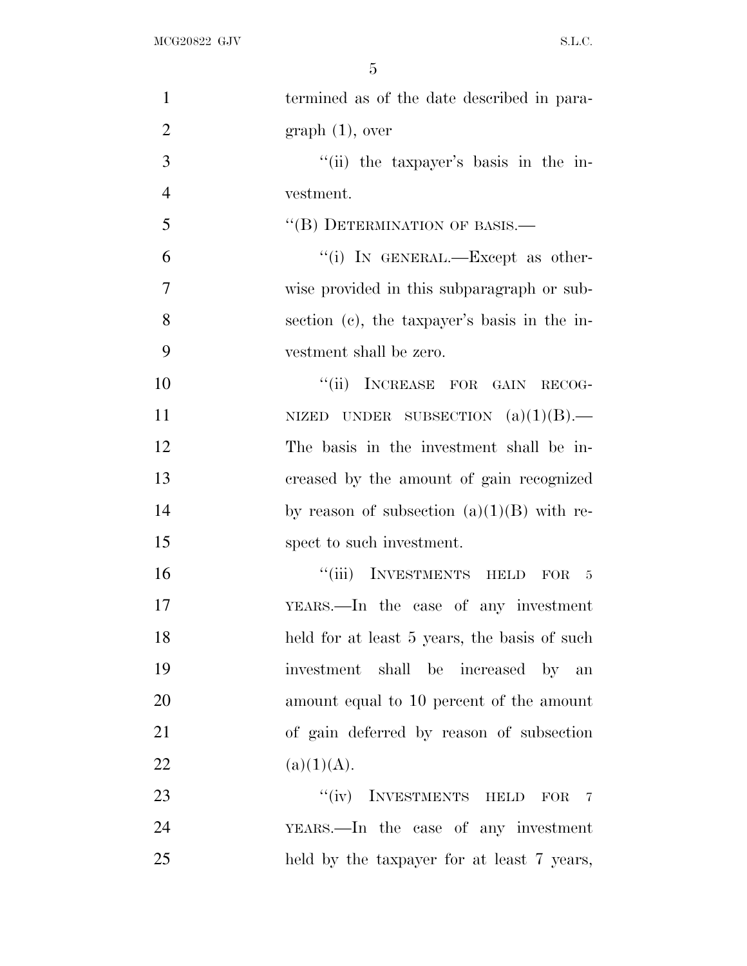| $\mathbf{1}$   | termined as of the date described in para-   |
|----------------|----------------------------------------------|
| $\overline{2}$ | graph(1), over                               |
| 3              | "(ii) the taxpayer's basis in the in-        |
| $\overline{4}$ | vestment.                                    |
| 5              | "(B) DETERMINATION OF BASIS.-                |
| 6              | "(i) IN GENERAL.—Except as other-            |
| $\overline{7}$ | wise provided in this subparagraph or sub-   |
| 8              | section (c), the taxpayer's basis in the in- |
| 9              | vestment shall be zero.                      |
| 10             | "(ii) INCREASE FOR GAIN RECOG-               |
| 11             | NIZED UNDER SUBSECTION $(a)(1)(B)$ .         |
| 12             | The basis in the investment shall be in-     |
| 13             | creased by the amount of gain recognized     |
| 14             | by reason of subsection $(a)(1)(B)$ with re- |
| 15             | spect to such investment.                    |
| 16             | "(iii) INVESTMENTS HELD FOR 5                |
| 17             | YEARS.—In the case of any investment         |
| 18             | held for at least 5 years, the basis of such |
| 19             | investment shall be increased by an          |
| 20             | amount equal to 10 percent of the amount     |
| 21             | of gain deferred by reason of subsection     |
| 22             | (a)(1)(A).                                   |
| 23             | "(iv) INVESTMENTS HELD FOR<br>$\overline{7}$ |
| 24             | YEARS.—In the case of any investment         |
| 25             | held by the taxpayer for at least 7 years,   |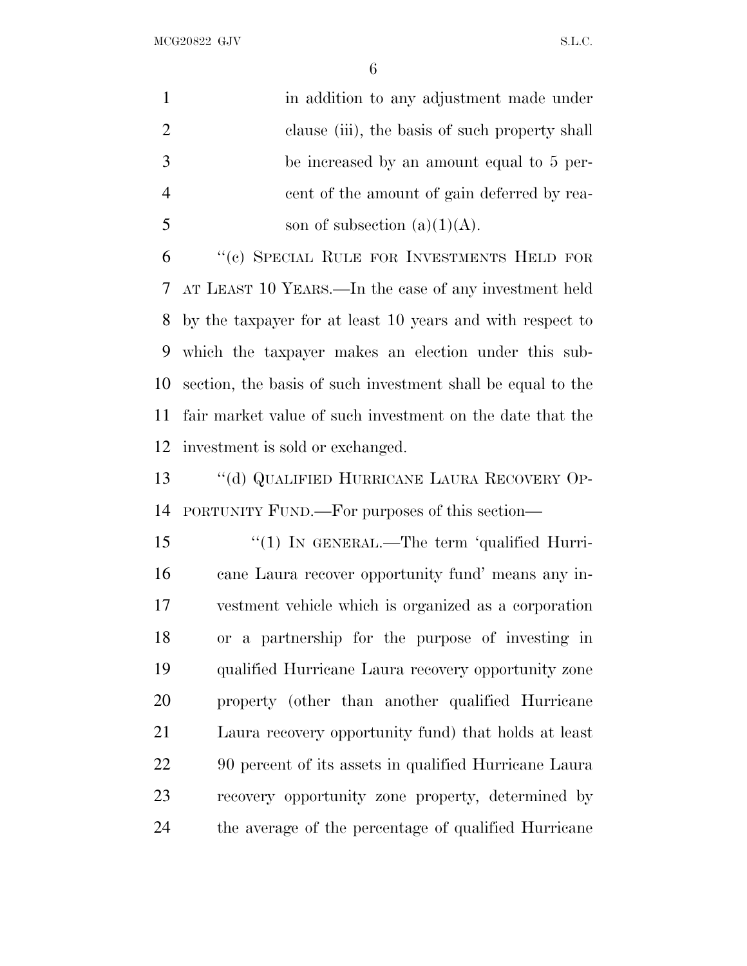MCG20822 GJV S.L.C.

|   | in addition to any adjustment made under       |
|---|------------------------------------------------|
| 2 | clause (iii), the basis of such property shall |
|   | be increased by an amount equal to 5 per-      |
|   | cent of the amount of gain deferred by rea-    |
|   | son of subsection $(a)(1)(A)$ .                |

 ''(c) SPECIAL RULE FOR INVESTMENTS HELD FOR AT LEAST 10 YEARS.—In the case of any investment held by the taxpayer for at least 10 years and with respect to which the taxpayer makes an election under this sub- section, the basis of such investment shall be equal to the fair market value of such investment on the date that the investment is sold or exchanged.

 ''(d) QUALIFIED HURRICANE LAURA RECOVERY OP-PORTUNITY FUND.—For purposes of this section—

15 "(1) IN GENERAL.—The term 'qualified Hurri- cane Laura recover opportunity fund' means any in- vestment vehicle which is organized as a corporation or a partnership for the purpose of investing in qualified Hurricane Laura recovery opportunity zone property (other than another qualified Hurricane Laura recovery opportunity fund) that holds at least 90 percent of its assets in qualified Hurricane Laura recovery opportunity zone property, determined by the average of the percentage of qualified Hurricane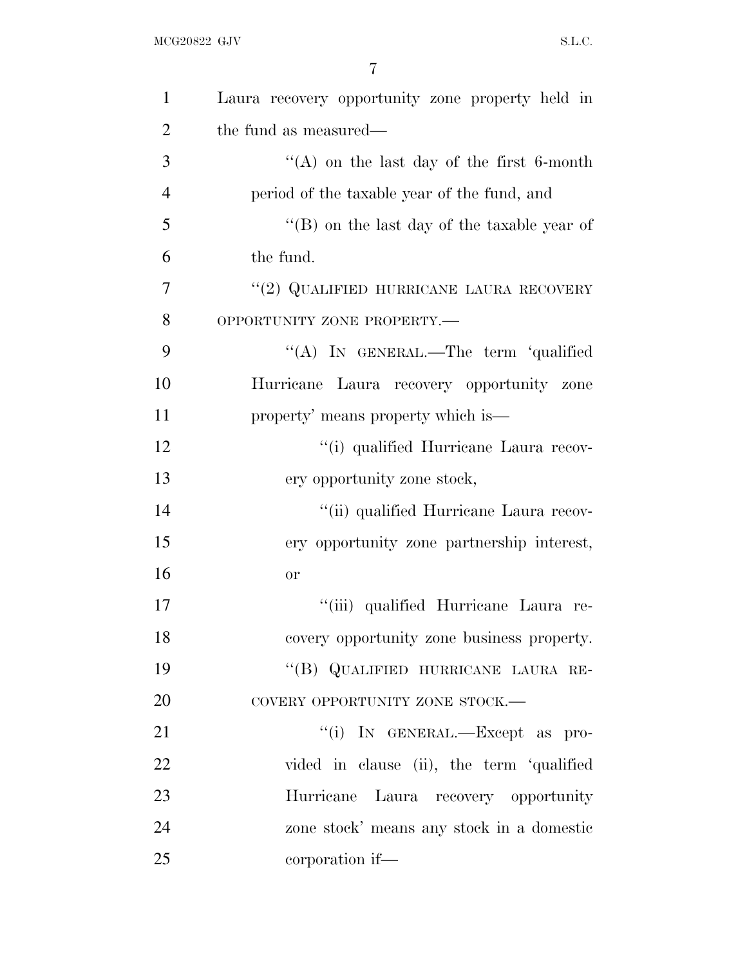| $\mathbf{1}$   | Laura recovery opportunity zone property held in |
|----------------|--------------------------------------------------|
| $\overline{2}$ | the fund as measured—                            |
| 3              | "(A) on the last day of the first 6-month        |
| $\overline{4}$ | period of the taxable year of the fund, and      |
| 5              | "(B) on the last day of the taxable year of      |
| 6              | the fund.                                        |
| 7              | "(2) QUALIFIED HURRICANE LAURA RECOVERY          |
| 8              | OPPORTUNITY ZONE PROPERTY.-                      |
| 9              | "(A) IN GENERAL.—The term 'qualified             |
| 10             | Hurricane Laura recovery opportunity zone        |
| 11             | property' means property which is—               |
| 12             | "(i) qualified Hurricane Laura recov-            |
| 13             | ery opportunity zone stock,                      |
| 14             | "(ii) qualified Hurricane Laura recov-           |
| 15             | ery opportunity zone partnership interest,       |
| 16             | <b>or</b>                                        |
| 17             | "(iii) qualified Hurricane Laura re-             |
| 18             | covery opportunity zone business property.       |
| 19             | "(B) QUALIFIED HURRICANE LAURA RE-               |
| 20             | COVERY OPPORTUNITY ZONE STOCK.-                  |
| 21             | "(i) IN GENERAL.—Except as pro-                  |
| 22             | vided in clause (ii), the term 'qualified        |
| 23             | Hurricane Laura recovery opportunity             |
| 24             | zone stock' means any stock in a domestic        |
| 25             | corporation if—                                  |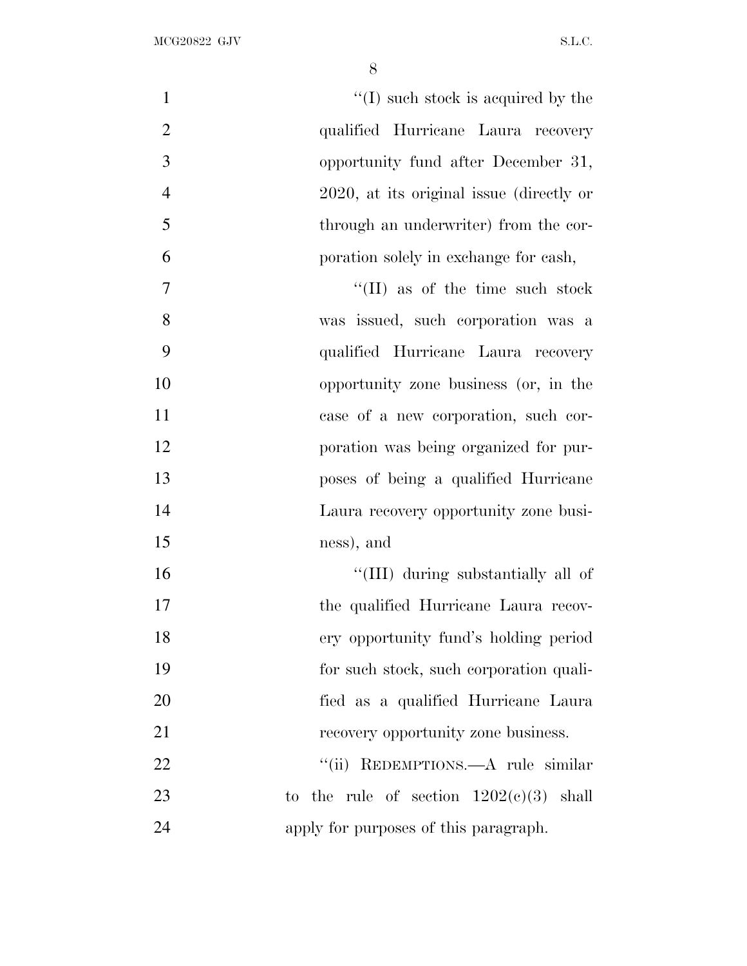| $\mathbf{1}$   | $\lq\lq$ (I) such stock is acquired by the |
|----------------|--------------------------------------------|
| $\overline{2}$ | qualified Hurricane Laura recovery         |
| 3              | opportunity fund after December 31,        |
| $\overline{4}$ | 2020, at its original issue (directly or   |
| 5              | through an underwriter) from the cor-      |
| 6              | poration solely in exchange for cash,      |
| 7              | $\lq\lq$ (II) as of the time such stock    |
| 8              | was issued, such corporation was a         |
| 9              | qualified Hurricane Laura recovery         |
| 10             | opportunity zone business (or, in the      |
| 11             | case of a new corporation, such cor-       |
| 12             | poration was being organized for pur-      |
| 13             | poses of being a qualified Hurricane       |
| 14             | Laura recovery opportunity zone busi-      |
| 15             | ness), and                                 |
| 16             | "(III) during substantially all of         |
| 17             | the qualified Hurricane Laura recov-       |
| 18             | ery opportunity fund's holding period      |
| 19             | for such stock, such corporation quali-    |
| 20             | fied as a qualified Hurricane Laura        |
| 21             | recovery opportunity zone business.        |
| 22             | REDEMPTIONS.—A rule similar<br>``(ii)      |
| 23             | to the rule of section $1202(c)(3)$ shall  |
| 24             | apply for purposes of this paragraph.      |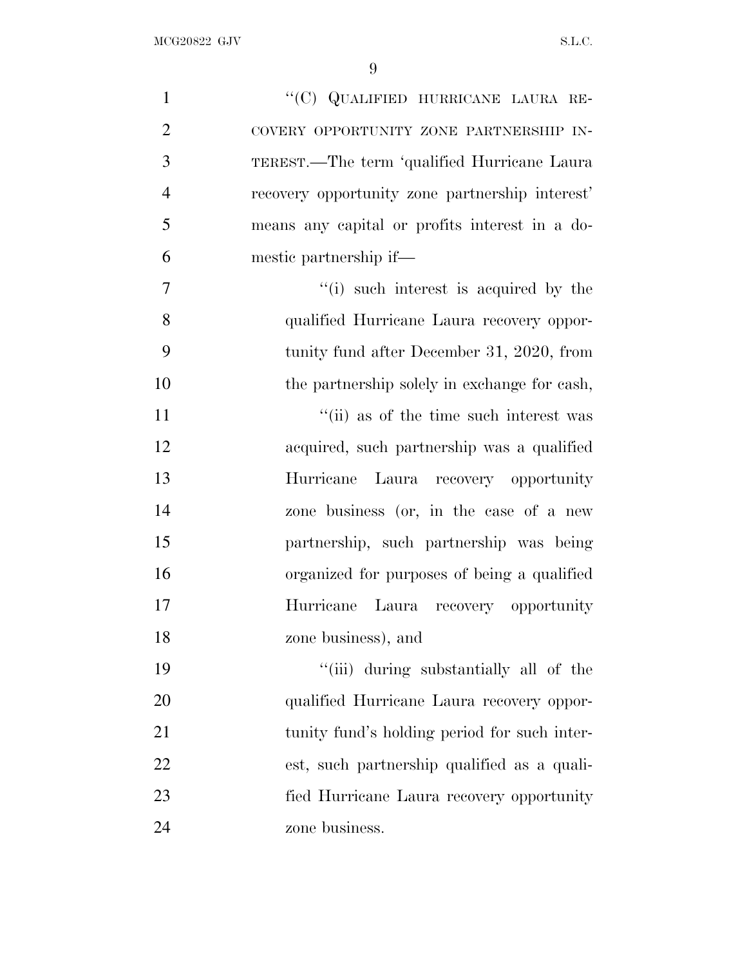| $\mathbf{1}$   | "(C) QUALIFIED HURRICANE LAURA RE-              |
|----------------|-------------------------------------------------|
| $\overline{2}$ | COVERY OPPORTUNITY ZONE PARTNERSHIP IN-         |
| 3              | TEREST.—The term 'qualified Hurricane Laura     |
| $\overline{4}$ | recovery opportunity zone partnership interest' |
| 5              | means any capital or profits interest in a do-  |
| 6              | mestic partnership if—                          |
| $\overline{7}$ | "(i) such interest is acquired by the           |
| 8              | qualified Hurricane Laura recovery oppor-       |
| 9              | tunity fund after December 31, 2020, from       |
| 10             | the partnership solely in exchange for cash,    |
| 11             | "(ii) as of the time such interest was          |
| 12             | acquired, such partnership was a qualified      |
| 13             | Hurricane Laura recovery opportunity            |
| 14             | zone business (or, in the case of a new         |
| 15             | partnership, such partnership was being         |
| 16             | organized for purposes of being a qualified     |
| 17             | Hurricane Laura recovery opportunity            |
| 18             | zone business), and                             |
| 19             | "(iii) during substantially all of the          |
| 20             | qualified Hurricane Laura recovery oppor-       |
| 21             | tunity fund's holding period for such inter-    |
| 22             | est, such partnership qualified as a quali-     |
| 23             | fied Hurricane Laura recovery opportunity       |
| 24             | zone business.                                  |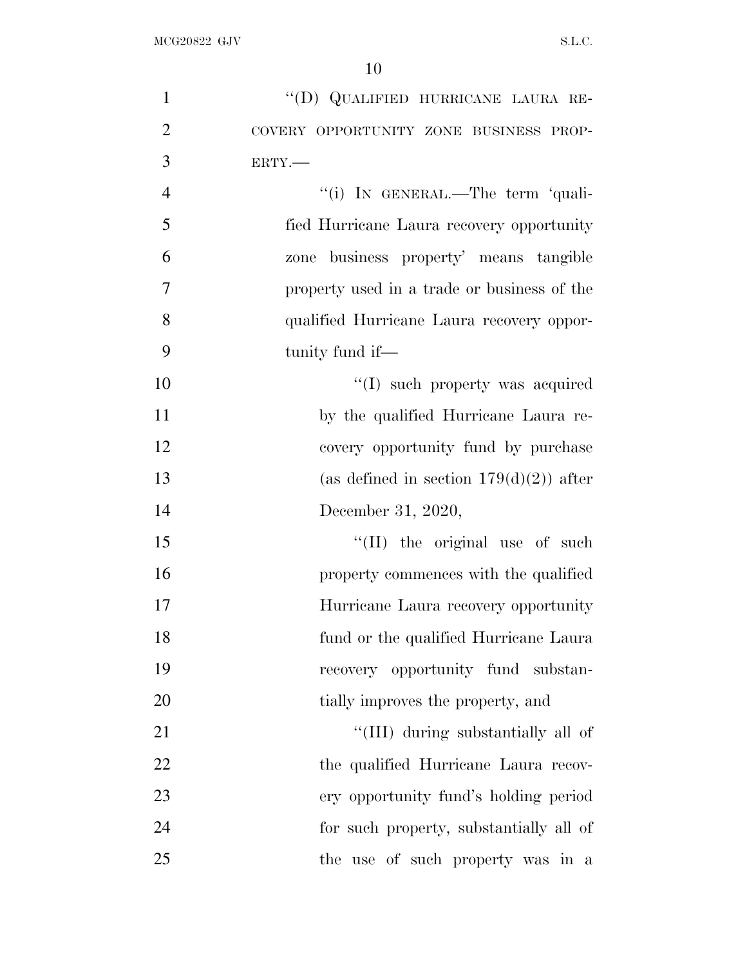| $\mathbf{1}$   | "(D) QUALIFIED HURRICANE LAURA RE-          |
|----------------|---------------------------------------------|
| $\overline{2}$ | COVERY OPPORTUNITY ZONE BUSINESS PROP-      |
| 3              | ERTY.-                                      |
| $\overline{4}$ | "(i) IN GENERAL.—The term 'quali-           |
| 5              | fied Hurricane Laura recovery opportunity   |
| 6              | business property' means tangible<br>zone   |
| $\overline{7}$ | property used in a trade or business of the |
| 8              | qualified Hurricane Laura recovery oppor-   |
| 9              | tunity fund if—                             |
| 10             | $\lq\lq$ such property was acquired         |
| 11             | by the qualified Hurricane Laura re-        |
| 12             | covery opportunity fund by purchase         |
| 13             | (as defined in section $179(d)(2)$ ) after  |
| 14             | December 31, 2020,                          |
| 15             | "(II) the original use of such              |
| 16             | property commences with the qualified       |
| 17             | Hurricane Laura recovery opportunity        |
| 18             | fund or the qualified Hurricane Laura       |
| 19             | recovery opportunity fund substan-          |
| 20             | tially improves the property, and           |
| 21             | "(III) during substantially all of          |
| 22             | the qualified Hurricane Laura recov-        |
| 23             | ery opportunity fund's holding period       |
| 24             | for such property, substantially all of     |
| 25             | the use of such property was in a           |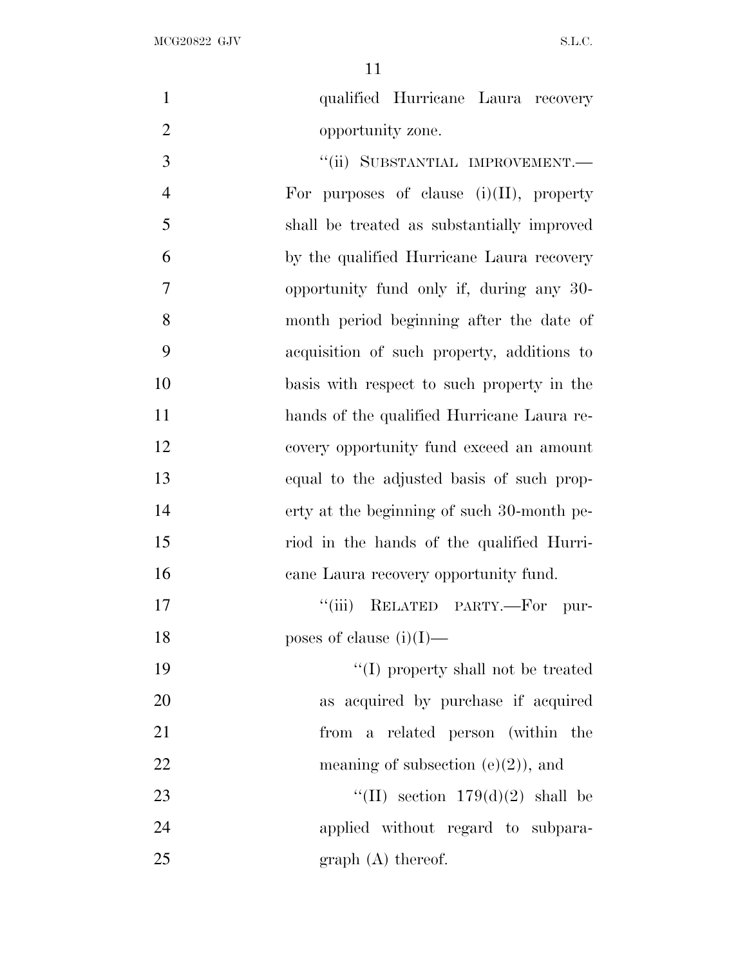| $\mathbf{1}$   | qualified Hurricane Laura recovery          |
|----------------|---------------------------------------------|
| $\overline{2}$ | opportunity zone.                           |
| 3              | "(ii) SUBSTANTIAL IMPROVEMENT.-             |
| $\overline{4}$ | For purposes of clause $(i)(II)$ , property |
| 5              | shall be treated as substantially improved  |
| 6              | by the qualified Hurricane Laura recovery   |
| $\overline{7}$ | opportunity fund only if, during any 30-    |
| 8              | month period beginning after the date of    |
| 9              | acquisition of such property, additions to  |
| 10             | basis with respect to such property in the  |
| 11             | hands of the qualified Hurricane Laura re-  |
| 12             | covery opportunity fund exceed an amount    |
| 13             | equal to the adjusted basis of such prop-   |
| 14             | erty at the beginning of such 30-month pe-  |
| 15             | riod in the hands of the qualified Hurri-   |
| 16             | cane Laura recovery opportunity fund.       |
| 17             | "(iii) RELATED PARTY.-For pur-              |
| 18             | poses of clause $(i)(I)$ —                  |
| 19             | "(I) property shall not be treated          |
| 20             | as acquired by purchase if acquired         |
| 21             | from a related person (within the           |
| 22             | meaning of subsection $(e)(2)$ , and        |
| 23             | "(II) section $179(d)(2)$ shall be          |
| 24             | applied without regard to subpara-          |
| 25             | $graph(A)$ thereof.                         |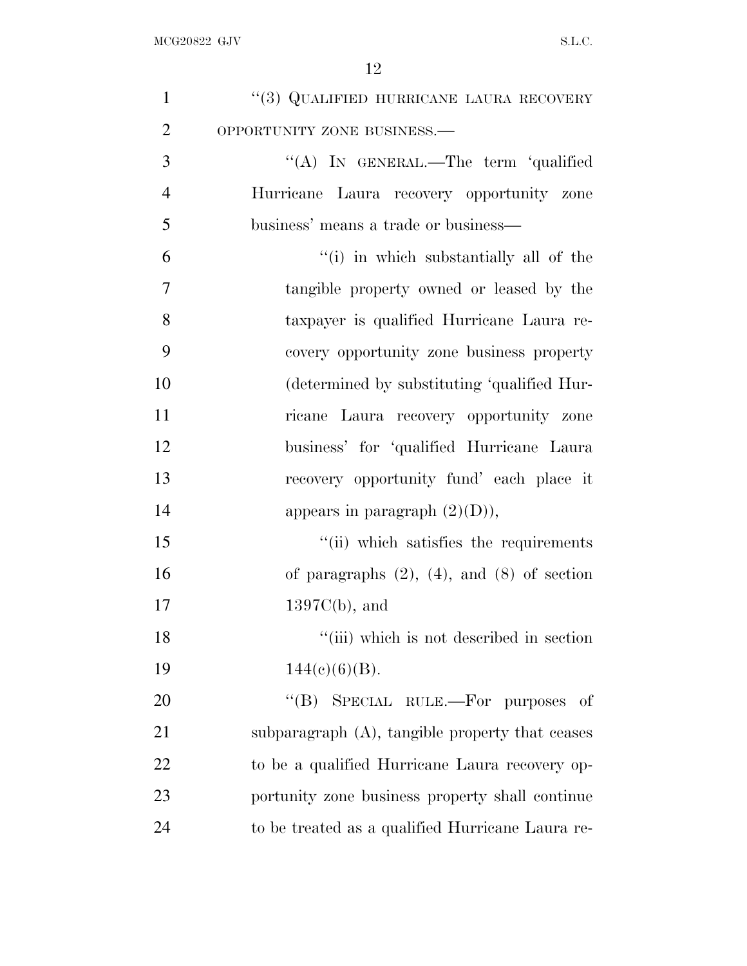| $\mathbf{1}$   | $``(3)$ QUALIFIED HURRICANE LAURA RECOVERY         |
|----------------|----------------------------------------------------|
| $\overline{2}$ | OPPORTUNITY ZONE BUSINESS.-                        |
| 3              | "(A) IN GENERAL.—The term 'qualified               |
| $\overline{4}$ | Hurricane Laura recovery opportunity zone          |
| 5              | business' means a trade or business—               |
| 6              | "(i) in which substantially all of the             |
| $\overline{7}$ | tangible property owned or leased by the           |
| 8              | taxpayer is qualified Hurricane Laura re-          |
| 9              | covery opportunity zone business property          |
| 10             | (determined by substituting 'qualified Hur-        |
| 11             | ricane Laura recovery opportunity zone             |
| 12             | business' for 'qualified Hurricane Laura           |
| 13             | recovery opportunity fund' each place it           |
| 14             | appears in paragraph $(2)(D)$ ),                   |
| 15             | "(ii) which satisfies the requirements             |
| 16             | of paragraphs $(2)$ , $(4)$ , and $(8)$ of section |
| 17             | $1397C(b)$ , and                                   |
| 18             | "(iii) which is not described in section           |
| 19             | $144(c)(6)(B)$ .                                   |
| 20             | "(B) SPECIAL RULE.—For purposes<br>-of             |
| 21             | subparagraph (A), tangible property that ceases    |
| 22             | to be a qualified Hurricane Laura recovery op-     |
| 23             | portunity zone business property shall continue    |
| 24             | to be treated as a qualified Hurricane Laura re-   |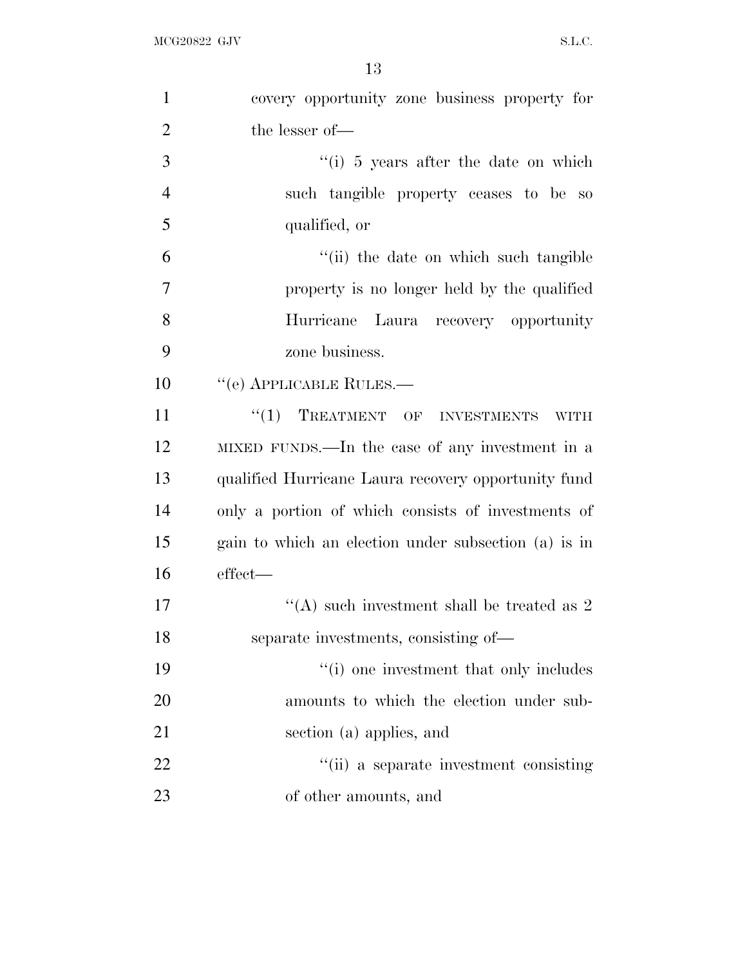| $\mathbf{1}$   | covery opportunity zone business property for        |
|----------------|------------------------------------------------------|
| $\overline{2}$ | the lesser of-                                       |
| 3              | $\lq($ i) 5 years after the date on which            |
| $\overline{4}$ | such tangible property ceases to be so               |
| 5              | qualified, or                                        |
| 6              | "(ii) the date on which such tangible                |
| $\overline{7}$ | property is no longer held by the qualified          |
| 8              | Hurricane<br>Laura recovery opportunity              |
| 9              | zone business.                                       |
| 10             | "(e) APPLICABLE RULES.—                              |
| 11             | "(1) TREATMENT OF INVESTMENTS<br><b>WITH</b>         |
| 12             | MIXED FUNDS.—In the case of any investment in a      |
| 13             | qualified Hurricane Laura recovery opportunity fund  |
| 14             | only a portion of which consists of investments of   |
| 15             | gain to which an election under subsection (a) is in |
| 16             | effect—                                              |
| 17             | "(A) such investment shall be treated as $2$         |
| 18             | separate investments, consisting of-                 |
| 19             | "(i) one investment that only includes               |
| 20             | amounts to which the election under sub-             |
| 21             | section (a) applies, and                             |
| 22             | "(ii) a separate investment consisting               |
| 23             | of other amounts, and                                |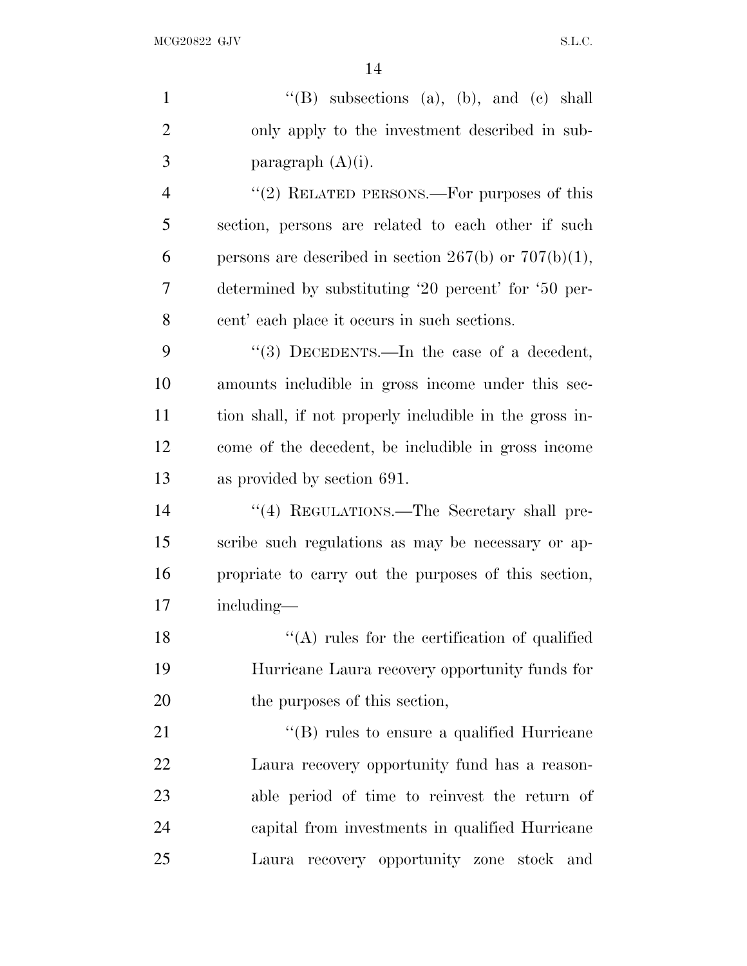| $\mathbf{1}$   | "(B) subsections (a), (b), and (c) shall                   |
|----------------|------------------------------------------------------------|
| $\overline{2}$ | only apply to the investment described in sub-             |
| 3              | paragraph $(A)(i)$ .                                       |
| 4              | " $(2)$ RELATED PERSONS.—For purposes of this              |
| 5              | section, persons are related to each other if such         |
| 6              | persons are described in section $267(b)$ or $707(b)(1)$ , |
| 7              | determined by substituting '20 percent' for '50 per-       |
| 8              | cent' each place it occurs in such sections.               |
| 9              | "(3) DECEDENTS.—In the case of a decedent,                 |
| 10             | amounts includible in gross income under this sec-         |
| 11             | tion shall, if not properly includible in the gross in-    |
| 12             | come of the decedent, be includible in gross income        |
| 13             | as provided by section 691.                                |
| 14             | "(4) REGULATIONS.—The Secretary shall pre-                 |
| 15             | scribe such regulations as may be necessary or ap-         |
| 16             | propriate to carry out the purposes of this section,       |
| 17             | including—                                                 |
| 18             | "(A) rules for the certification of qualified              |
| 19             | Hurricane Laura recovery opportunity funds for             |
| 20             | the purposes of this section,                              |
| 21             | $\lq\lq$ (B) rules to ensure a qualified Hurricane         |
| 22             | Laura recovery opportunity fund has a reason-              |
| 23             | able period of time to reinvest the return of              |
| 24             | capital from investments in qualified Hurricane            |
| 25             | Laura recovery opportunity zone stock and                  |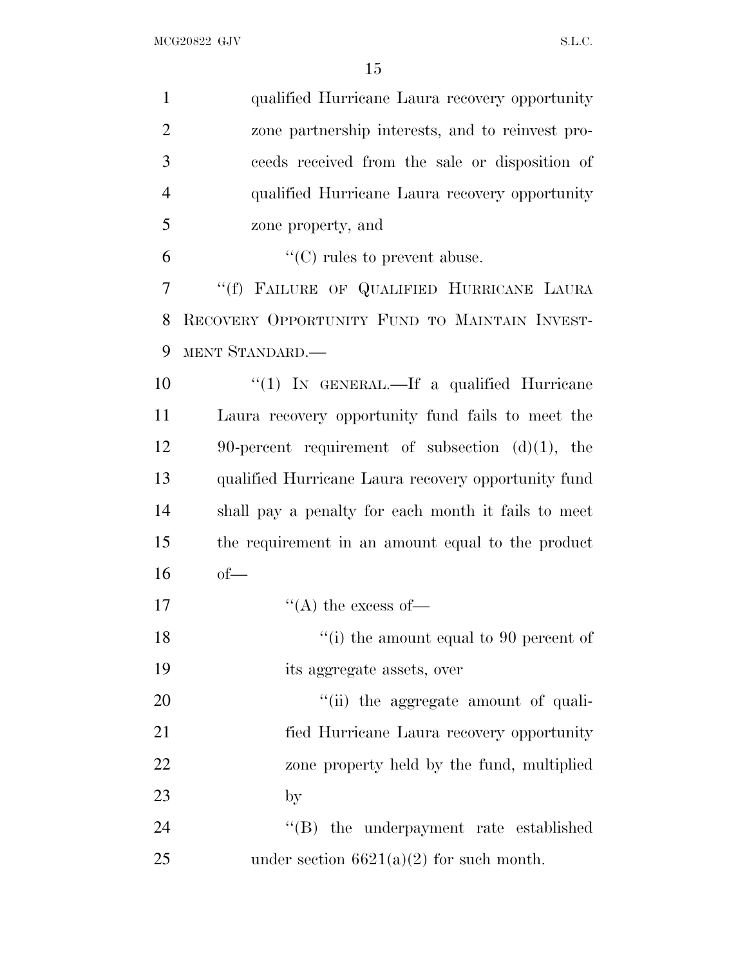| $\mathbf{1}$   | qualified Hurricane Laura recovery opportunity      |
|----------------|-----------------------------------------------------|
| $\overline{2}$ | zone partnership interests, and to reinvest pro-    |
| 3              | ceeds received from the sale or disposition of      |
| $\overline{4}$ | qualified Hurricane Laura recovery opportunity      |
| 5              | zone property, and                                  |
| 6              | $\lq\lq$ (C) rules to prevent abuse.                |
| 7              | "(f) FAILURE OF QUALIFIED HURRICANE LAURA           |
| 8              | RECOVERY OPPORTUNITY FUND TO MAINTAIN INVEST-       |
| 9              | MENT STANDARD.                                      |
| 10             | "(1) IN GENERAL.—If a qualified Hurricane           |
| 11             | Laura recovery opportunity fund fails to meet the   |
| 12             | 90-percent requirement of subsection $(d)(1)$ , the |
| 13             | qualified Hurricane Laura recovery opportunity fund |
| 14             | shall pay a penalty for each month it fails to meet |
| 15             | the requirement in an amount equal to the product   |
| 16             | $of$ —                                              |
| 17             | $\lq\lq$ the excess of —                            |
| 18             | "(i) the amount equal to 90 percent of              |
| 19             | its aggregate assets, over                          |
| 20             | "(ii) the aggregate amount of quali-                |
| 21             | fied Hurricane Laura recovery opportunity           |
| 22             | zone property held by the fund, multiplied          |
| 23             | $_{\rm by}$                                         |
| 24             | "(B) the underpayment rate established              |
| 25             | under section $6621(a)(2)$ for such month.          |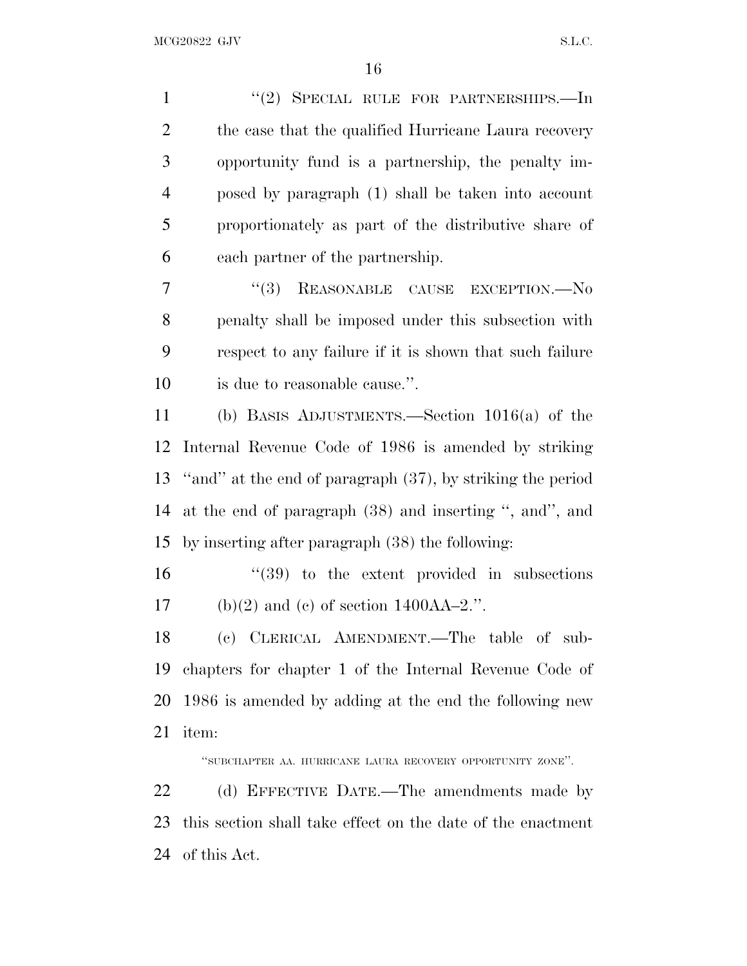1 "(2) SPECIAL RULE FOR PARTNERSHIPS.—In 2 the case that the qualified Hurricane Laura recovery opportunity fund is a partnership, the penalty im- posed by paragraph (1) shall be taken into account proportionately as part of the distributive share of each partner of the partnership.

7 "(3) REASONABLE CAUSE EXCEPTION.—No penalty shall be imposed under this subsection with respect to any failure if it is shown that such failure is due to reasonable cause.''.

 (b) BASIS ADJUSTMENTS.—Section 1016(a) of the Internal Revenue Code of 1986 is amended by striking ''and'' at the end of paragraph (37), by striking the period at the end of paragraph (38) and inserting '', and'', and by inserting after paragraph (38) the following:

 ''(39) to the extent provided in subsections 17 (b)(2) and (c) of section  $1400AA-2$ .".

 (c) CLERICAL AMENDMENT.—The table of sub- chapters for chapter 1 of the Internal Revenue Code of 1986 is amended by adding at the end the following new item:

''SUBCHAPTER AA. HURRICANE LAURA RECOVERY OPPORTUNITY ZONE''.

22 (d) EFFECTIVE DATE.—The amendments made by this section shall take effect on the date of the enactment of this Act.